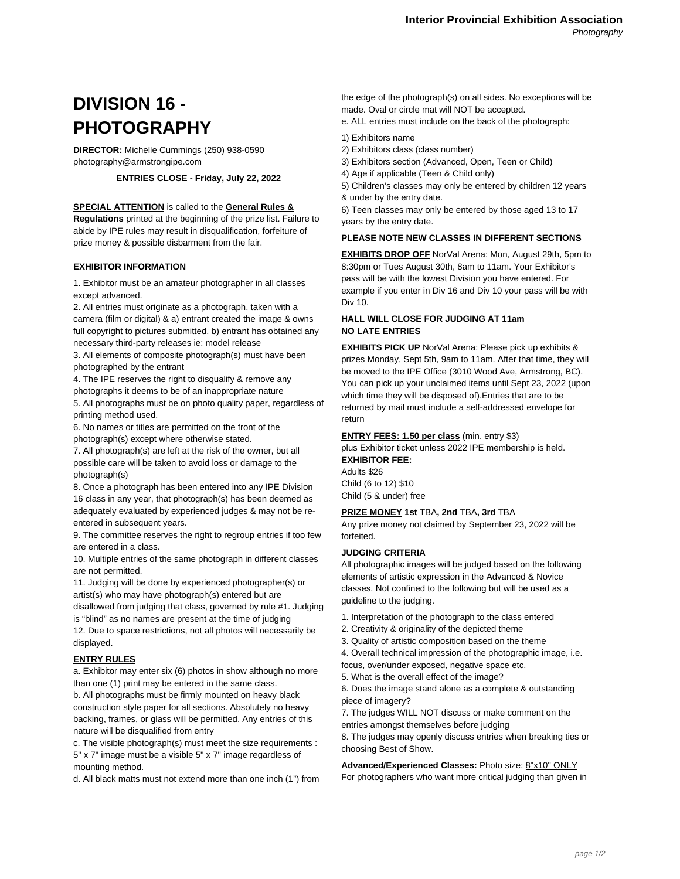# **DIVISION 16 - PHOTOGRAPHY**

**DIRECTOR:** Michelle Cummings (250) 938-0590 photography@armstrongipe.com

# **ENTRIES CLOSE - Friday, July 22, 2022**

#### **SPECIAL ATTENTION** is called to the **General Rules &**

**Regulations** printed at the beginning of the prize list. Failure to abide by IPE rules may result in disqualification, forfeiture of prize money & possible disbarment from the fair.

# **EXHIBITOR INFORMATION**

1. Exhibitor must be an amateur photographer in all classes except advanced.

2. All entries must originate as a photograph, taken with a camera (film or digital) & a) entrant created the image & owns full copyright to pictures submitted. b) entrant has obtained any necessary third-party releases ie: model release

3. All elements of composite photograph(s) must have been photographed by the entrant

4. The IPE reserves the right to disqualify & remove any photographs it deems to be of an inappropriate nature 5. All photographs must be on photo quality paper, regardless of printing method used.

6. No names or titles are permitted on the front of the photograph(s) except where otherwise stated.

7. All photograph(s) are left at the risk of the owner, but all possible care will be taken to avoid loss or damage to the photograph(s)

8. Once a photograph has been entered into any IPE Division 16 class in any year, that photograph(s) has been deemed as adequately evaluated by experienced judges & may not be reentered in subsequent years.

9. The committee reserves the right to regroup entries if too few are entered in a class.

10. Multiple entries of the same photograph in different classes are not permitted.

11. Judging will be done by experienced photographer(s) or artist(s) who may have photograph(s) entered but are disallowed from judging that class, governed by rule #1. Judging is "blind" as no names are present at the time of judging

12. Due to space restrictions, not all photos will necessarily be displayed.

# **ENTRY RULES**

a. Exhibitor may enter six (6) photos in show although no more than one (1) print may be entered in the same class.

b. All photographs must be firmly mounted on heavy black construction style paper for all sections. Absolutely no heavy backing, frames, or glass will be permitted. Any entries of this nature will be disqualified from entry

c. The visible photograph(s) must meet the size requirements : 5" x 7" image must be a visible 5" x 7" image regardless of mounting method.

d. All black matts must not extend more than one inch (1") from

the edge of the photograph(s) on all sides. No exceptions will be made. Oval or circle mat will NOT be accepted.

e. ALL entries must include on the back of the photograph:

- 1) Exhibitors name
- 2) Exhibitors class (class number)
- 3) Exhibitors section (Advanced, Open, Teen or Child)
- 4) Age if applicable (Teen & Child only)

5) Children's classes may only be entered by children 12 years & under by the entry date.

6) Teen classes may only be entered by those aged 13 to 17 years by the entry date.

# **PLEASE NOTE NEW CLASSES IN DIFFERENT SECTIONS**

**EXHIBITS DROP OFF** NorVal Arena: Mon, August 29th, 5pm to 8:30pm or Tues August 30th, 8am to 11am. Your Exhibitor's pass will be with the lowest Division you have entered. For example if you enter in Div 16 and Div 10 your pass will be with Div 10.

# **HALL WILL CLOSE FOR JUDGING AT 11am NO LATE ENTRIES**

**EXHIBITS PICK UP** NorVal Arena: Please pick up exhibits & prizes Monday, Sept 5th, 9am to 11am. After that time, they will be moved to the IPE Office (3010 Wood Ave, Armstrong, BC). You can pick up your unclaimed items until Sept 23, 2022 (upon which time they will be disposed of).Entries that are to be returned by mail must include a self-addressed envelope for return

#### **ENTRY FEES: 1.50 per class** (min. entry \$3)

plus Exhibitor ticket unless 2022 IPE membership is held. **EXHIBITOR FEE:**

Adults \$26 Child (6 to 12) \$10 Child (5 & under) free

#### **PRIZE MONEY 1st** TBA**, 2nd** TBA**, 3rd** TBA

Any prize money not claimed by September 23, 2022 will be forfeited.

#### **JUDGING CRITERIA**

All photographic images will be judged based on the following elements of artistic expression in the Advanced & Novice classes. Not confined to the following but will be used as a guideline to the judging.

- 1. Interpretation of the photograph to the class entered
- 2. Creativity & originality of the depicted theme
- 3. Quality of artistic composition based on the theme
- 4. Overall technical impression of the photographic image, i.e.
- focus, over/under exposed, negative space etc.
- 5. What is the overall effect of the image?

6. Does the image stand alone as a complete & outstanding piece of imagery?

7. The judges WILL NOT discuss or make comment on the entries amongst themselves before judging

8. The judges may openly discuss entries when breaking ties or choosing Best of Show.

#### **Advanced/Experienced Classes:** Photo size: 8"x10" ONLY

For photographers who want more critical judging than given in